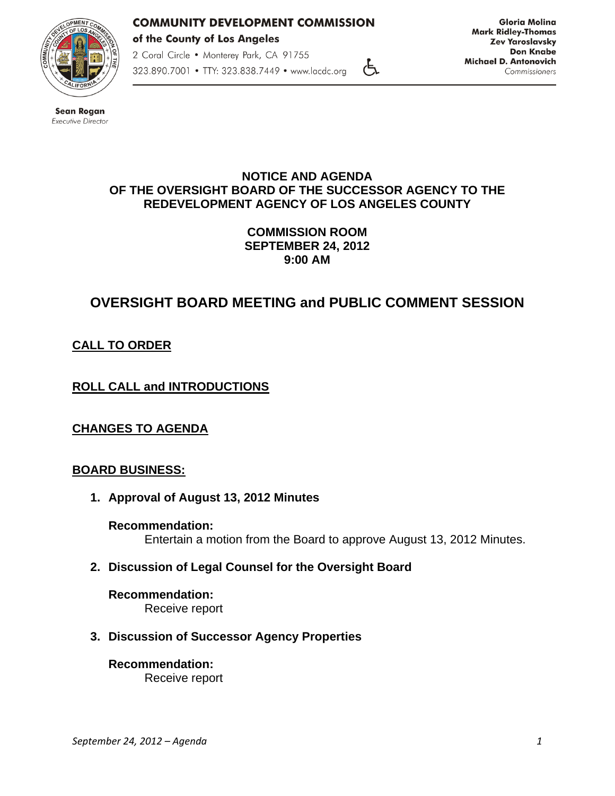

## **COMMUNITY DEVELOPMENT COMMISSION** of the County of Los Angeles

2 Coral Circle . Monterey Park, CA 91755

323.890.7001 • TTY: 323.838.7449 • www.lacdc.org

**Gloria Molina Mark Ridley-Thomas Zev Yaroslavsky Don Knabe Michael D. Antonovich** Commissioners

**Sean Rogan** Executive Director

### **NOTICE AND AGENDA OF THE OVERSIGHT BOARD OF THE SUCCESSOR AGENCY TO THE REDEVELOPMENT AGENCY OF LOS ANGELES COUNTY**

 $\epsilon$ 

**COMMISSION ROOM SEPTEMBER 24, 2012 9:00 AM** 

# **OVERSIGHT BOARD MEETING and PUBLIC COMMENT SESSION**

## **CALL TO ORDER**

## **ROLL CALL and INTRODUCTIONS**

## **CHANGES TO AGENDA**

## **BOARD BUSINESS:**

**1. Approval of August 13, 2012 Minutes** 

**Recommendation:**  Entertain a motion from the Board to approve August 13, 2012 Minutes.

**2. Discussion of Legal Counsel for the Oversight Board** 

**Recommendation:**  Receive report

## **3. Discussion of Successor Agency Properties**

**Recommendation:**  Receive report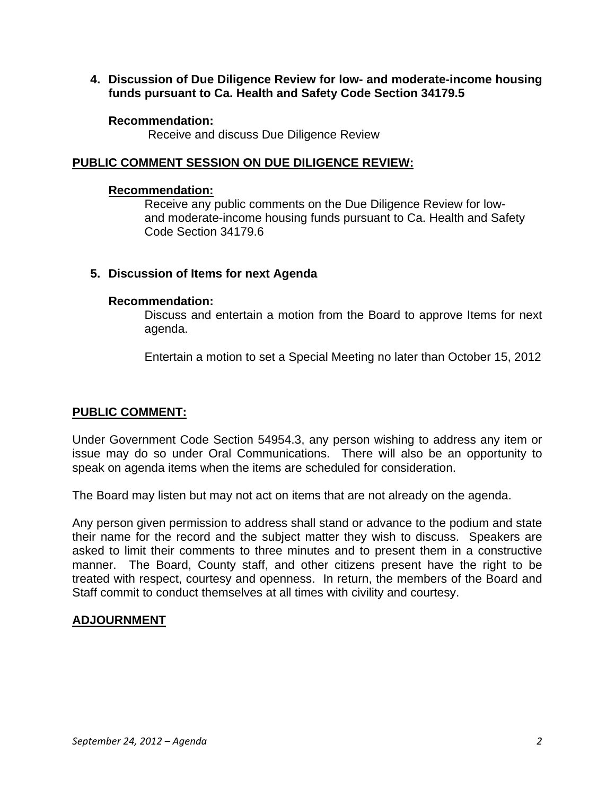**4. Discussion of Due Diligence Review for low- and moderate-income housing funds pursuant to Ca. Health and Safety Code Section 34179.5** 

#### **Recommendation:**

Receive and discuss Due Diligence Review

## **PUBLIC COMMENT SESSION ON DUE DILIGENCE REVIEW:**

#### **Recommendation:**

 Receive any public comments on the Due Diligence Review for low and moderate-income housing funds pursuant to Ca. Health and Safety Code Section 34179.6

## **5. Discussion of Items for next Agenda**

#### **Recommendation:**

Discuss and entertain a motion from the Board to approve Items for next agenda.

Entertain a motion to set a Special Meeting no later than October 15, 2012

## **PUBLIC COMMENT:**

Under Government Code Section 54954.3, any person wishing to address any item or issue may do so under Oral Communications. There will also be an opportunity to speak on agenda items when the items are scheduled for consideration.

The Board may listen but may not act on items that are not already on the agenda.

Any person given permission to address shall stand or advance to the podium and state their name for the record and the subject matter they wish to discuss. Speakers are asked to limit their comments to three minutes and to present them in a constructive manner. The Board, County staff, and other citizens present have the right to be treated with respect, courtesy and openness. In return, the members of the Board and Staff commit to conduct themselves at all times with civility and courtesy.

## **ADJOURNMENT**